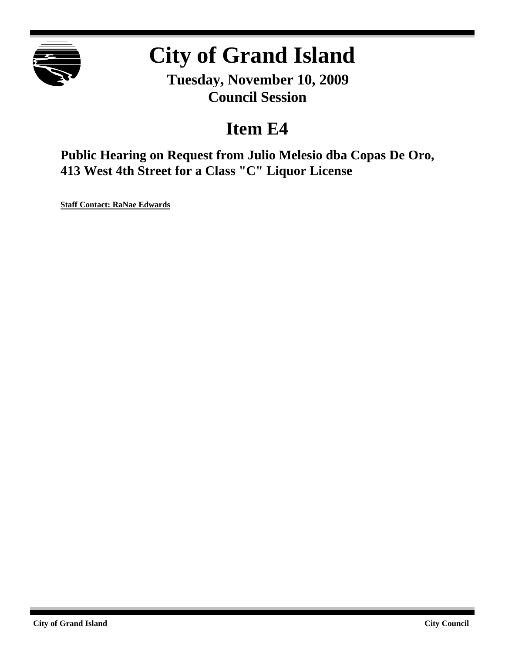

# **City of Grand Island**

**Tuesday, November 10, 2009 Council Session**

## **Item E4**

**Public Hearing on Request from Julio Melesio dba Copas De Oro, 413 West 4th Street for a Class "C" Liquor License**

**Staff Contact: RaNae Edwards**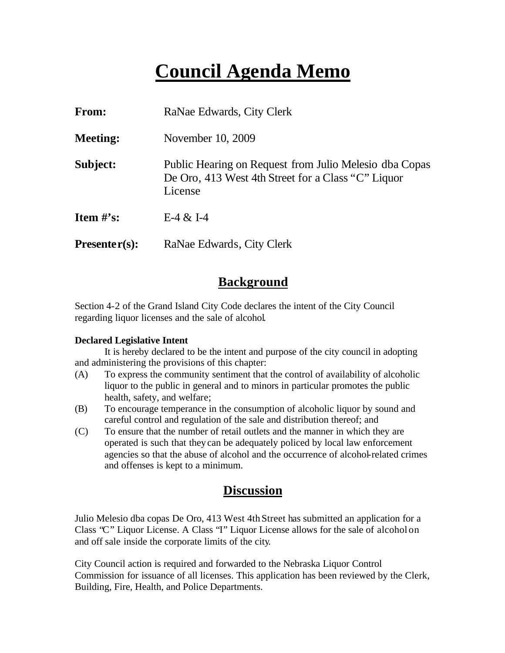## **Council Agenda Memo**

| From:           | RaNae Edwards, City Clerk                                                                                               |  |  |
|-----------------|-------------------------------------------------------------------------------------------------------------------------|--|--|
| <b>Meeting:</b> | November 10, 2009                                                                                                       |  |  |
| Subject:        | Public Hearing on Request from Julio Melesio dba Copas<br>De Oro, 413 West 4th Street for a Class "C" Liquor<br>License |  |  |
| Item $\#$ 's:   | E-4 $&$ I-4                                                                                                             |  |  |
| $Presenter(s):$ | RaNae Edwards, City Clerk                                                                                               |  |  |

### **Background**

Section 4-2 of the Grand Island City Code declares the intent of the City Council regarding liquor licenses and the sale of alcohol.

#### **Declared Legislative Intent**

It is hereby declared to be the intent and purpose of the city council in adopting and administering the provisions of this chapter:

- (A) To express the community sentiment that the control of availability of alcoholic liquor to the public in general and to minors in particular promotes the public health, safety, and welfare;
- (B) To encourage temperance in the consumption of alcoholic liquor by sound and careful control and regulation of the sale and distribution thereof; and
- (C) To ensure that the number of retail outlets and the manner in which they are operated is such that they can be adequately policed by local law enforcement agencies so that the abuse of alcohol and the occurrence of alcohol-related crimes and offenses is kept to a minimum.

### **Discussion**

Julio Melesio dba copas De Oro, 413 West 4th Street has submitted an application for a Class "C" Liquor License. A Class "I" Liquor License allows for the sale of alcohol on and off sale inside the corporate limits of the city.

City Council action is required and forwarded to the Nebraska Liquor Control Commission for issuance of all licenses. This application has been reviewed by the Clerk, Building, Fire, Health, and Police Departments.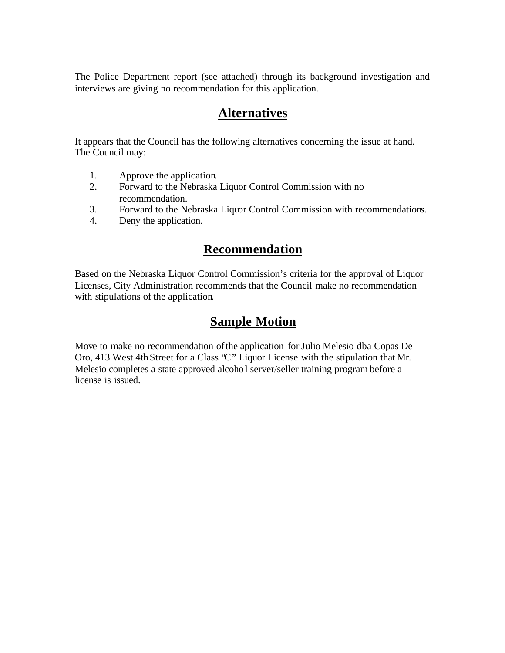The Police Department report (see attached) through its background investigation and interviews are giving no recommendation for this application.

### **Alternatives**

It appears that the Council has the following alternatives concerning the issue at hand. The Council may:

- 1. Approve the application.
- 2. Forward to the Nebraska Liquor Control Commission with no recommendation.
- 3. Forward to the Nebraska Liquor Control Commission with recommendations.
- 4. Deny the application.

#### **Recommendation**

Based on the Nebraska Liquor Control Commission's criteria for the approval of Liquor Licenses, City Administration recommends that the Council make no recommendation with stipulations of the application.

### **Sample Motion**

Move to make no recommendation of the application for Julio Melesio dba Copas De Oro, 413 West 4th Street for a Class "C" Liquor License with the stipulation that Mr. Melesio completes a state approved alcohol server/seller training program before a license is issued.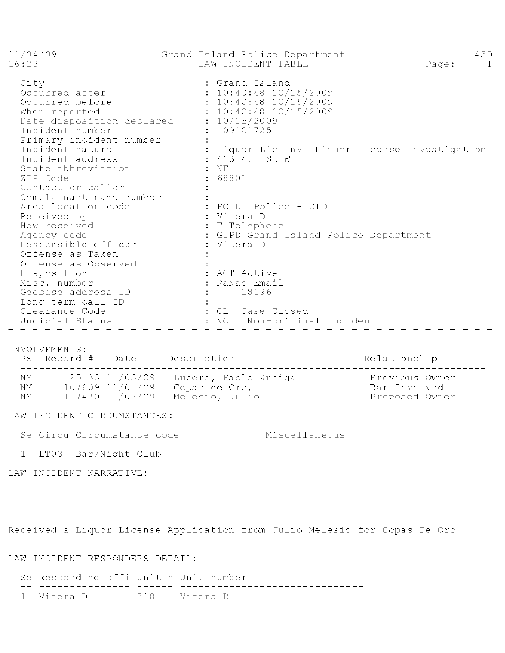Grand Island Police Department  $11/04/09$ 450 Page: 1  $16:28$ LAW INCIDENT TABLE City<br>
Cocurred after : 10:40:48 10/15/2009<br>
Occurred before : 10:40:48 10/15/2009<br>
When reported : 10:40:48 10/15/2009<br>
Date disposition declared : 10/15/2009<br>
Incident number : L09101725<br>
Primary incident nature : Liquor Complainant name number<br>
Complainant name number<br>
Area location code<br>
Received by<br>
How received : Telephone<br>
Agency code : GIPD Grand Island Police Department<br>
Responsible officer : Vitera D<br>
offense as Taken<br>
offense as O Offense as Observed<br>
Offense as Observed<br>
Disposition<br>
Misc. number<br>
Misc. number<br>
Geobase address ID<br>
Long-term call ID<br>
Clearance Code<br>
Clearance Code<br>
Clearance Code<br>
: CL Case Closed<br>
Udicial Status<br>
: NCI Non-criminal 

INVOLVEMENTS:

Px Record # Date Description Relationship NM 25133 11/03/09 Lucero, Pablo Zuniga (Previous Owner NM 107609 11/02/09 Copas de Oro, National Company Bar Involved NM 117470 11/02/09 Melesio, Julio

LAW INCIDENT CIRCUMSTANCES:

Se Circu Circumstance code Miscellaneous 1 LT03 Bar/Night Club

LAW INCIDENT NARRATIVE:

Received a Liquor License Application from Julio Melesio for Copas De Oro

LAW INCIDENT RESPONDERS DETAIL:

Se Responding offi Unit n Unit number \_\_ \_\_\_\_\_\_\_\_\_\_\_\_\_\_\_ 1 Vitera D 318 Vitera D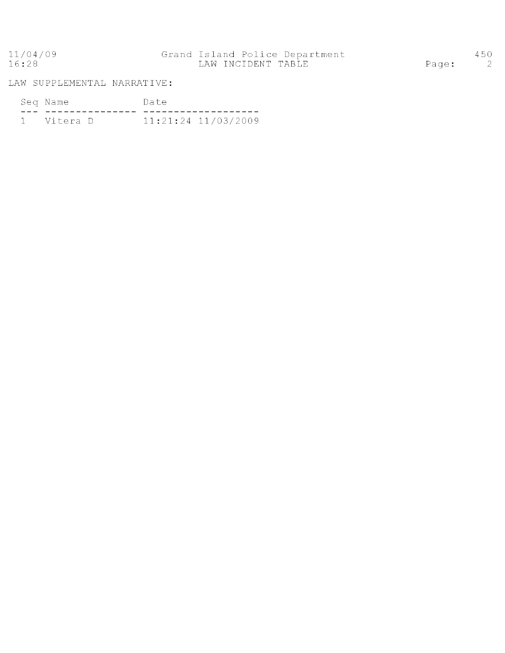## 11/04/09 Grand Island Police Department<br>16:28 LAW INCIDENT TABLE

LAW SUPPLEMENTAL NARRATIVE:

| Seq Name     |  | Date |                     |
|--------------|--|------|---------------------|
|              |  |      |                     |
| 1 - Vitera D |  |      | 11:21:24 11/03/2009 |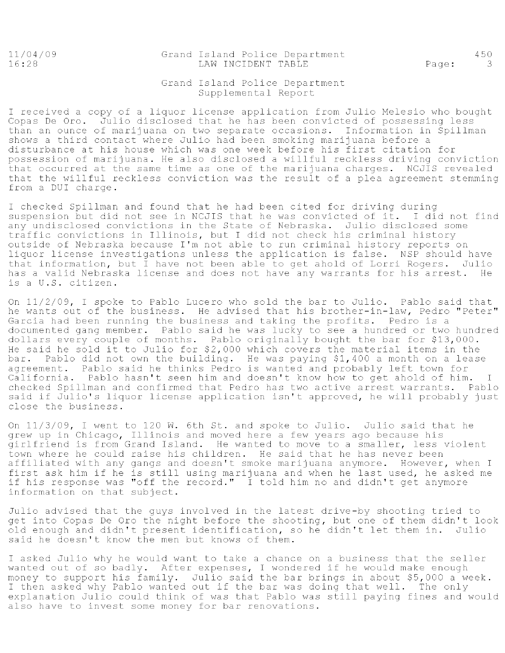$11/04/09$  $16:28$ 

#### Grand Island Police Department LAW INCIDENT TABLE

Page:

450

 $\overline{\mathbf{3}}$ 

#### Grand Island Police Department Supplemental Report

I received a copy of a liquor license application from Julio Melesio who bought Copas De Oro. Julio disclosed that he has been convicted of possessing less than an ounce of marijuana on two separate occasions. Information in Spillman shows a third contact where Julio had been smoking marijuana before a disturbance at his house which was one week before his first citation for possession of marijuana. He also disclosed a willful reckless driving conviction that occurred at the same time as one of the marijuana charges. NCJIS revealed that the willful reckless conviction was the result of a plea agreement stemming from a DUI charge.

I checked Spillman and found that he had been cited for driving during suspension but did not see in NCJIS that he was convicted of it. I did not find any undisclosed convictions in the State of Nebraska. Julio disclosed some traffic convictions in Illinois, but I did not check his criminal history outside of Nebraska because I'm not able to run criminal history reports on liquor license investigations unless the application is false. NSP should have that information, but I have not been able to get ahold of Lorri Rogers. Julio has a valid Nebraska license and does not have any warrants for his arrest. He is a U.S. citizen.

On 11/2/09, I spoke to Pablo Lucero who sold the bar to Julio. Pablo said that he wants out of the business. He advised that his brother-in-law, Pedro "Peter" Garcia had been running the business and taking the profits. Pedro is a documented gang member. Pablo said he was lucky to see a hundred or two hundred dollars every couple of months. Pablo originally bought the bar for \$13,000. He said he sold it to Julio for \$2,000 which covers the material items in the bar. Pablo did not own the building. He was paying \$1,400 a month on a lease agreement. Pablo said he thinks Pedro is wanted and probably left town for California. Pablo hasn't seen him and doesn't know how to get ahold of him.  $\mathbf{I}$ checked Spillman and confirmed that Pedro has two active arrest warrants. Pablo said if Julio's liquor license application isn't approved, he will probably just close the business.

On 11/3/09, I went to 120 W. 6th St. and spoke to Julio. Julio said that he grew up in Chicago, Illinois and moved here a few years ago because his girlfriend is from Grand Island. He wanted to move to a smaller, less violent town where he could raise his children. He said that he has never been affiliated with any gangs and doesn't smoke marijuana anymore. However, when I first ask him if he is still using marijuana and when he last used, he asked me if his response was "off the record." I told him no and didn't get anymore information on that subject.

Julio advised that the guys involved in the latest drive-by shooting tried to get into Copas De Oro the night before the shooting, but one of them didn't look old enough and didn't present identification, so he didn't let them in. Julio said he doesn't know the men but knows of them.

I asked Julio why he would want to take a chance on a business that the seller wanted out of so badly. After expenses, I wondered if he would make enough money to support his family. Julio said the bar brings in about \$5,000 a week. I then asked why Pablo wanted out if the bar was doing that well. The only explanation Julio could think of was that Pablo was still paying fines and would also have to invest some money for bar renovations.